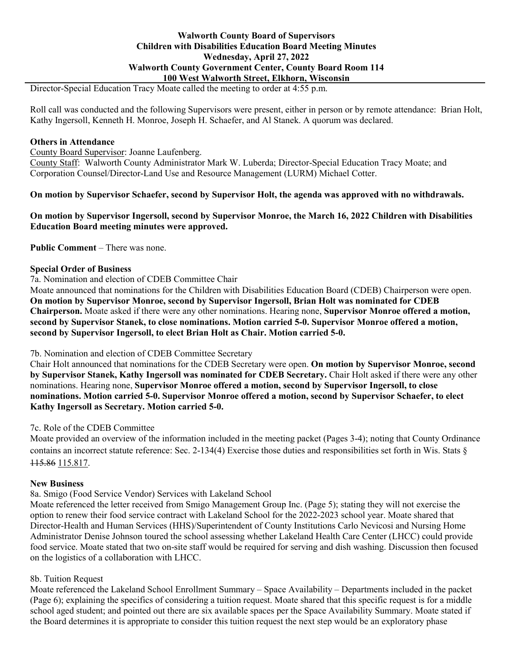## **Walworth County Board of Supervisors Children with Disabilities Education Board Meeting Minutes Wednesday, April 27, 2022 Walworth County Government Center, County Board Room 114 100 West Walworth Street, Elkhorn, Wisconsin**

Director-Special Education Tracy Moate called the meeting to order at 4:55 p.m.

Roll call was conducted and the following Supervisors were present, either in person or by remote attendance: Brian Holt, Kathy Ingersoll, Kenneth H. Monroe, Joseph H. Schaefer, and Al Stanek. A quorum was declared.

#### **Others in Attendance**

County Board Supervisor: Joanne Laufenberg. County Staff: Walworth County Administrator Mark W. Luberda; Director-Special Education Tracy Moate; and Corporation Counsel/Director-Land Use and Resource Management (LURM) Michael Cotter.

**On motion by Supervisor Schaefer, second by Supervisor Holt, the agenda was approved with no withdrawals.**

**On motion by Supervisor Ingersoll, second by Supervisor Monroe, the March 16, 2022 Children with Disabilities Education Board meeting minutes were approved.**

**Public Comment** – There was none.

#### **Special Order of Business**

7a. Nomination and election of CDEB Committee Chair

Moate announced that nominations for the Children with Disabilities Education Board (CDEB) Chairperson were open. **On motion by Supervisor Monroe, second by Supervisor Ingersoll, Brian Holt was nominated for CDEB Chairperson.** Moate asked if there were any other nominations. Hearing none, **Supervisor Monroe offered a motion, second by Supervisor Stanek, to close nominations. Motion carried 5-0. Supervisor Monroe offered a motion, second by Supervisor Ingersoll, to elect Brian Holt as Chair. Motion carried 5-0.**

### 7b. Nomination and election of CDEB Committee Secretary

Chair Holt announced that nominations for the CDEB Secretary were open. **On motion by Supervisor Monroe, second by Supervisor Stanek, Kathy Ingersoll was nominated for CDEB Secretary.** Chair Holt asked if there were any other nominations. Hearing none, **Supervisor Monroe offered a motion, second by Supervisor Ingersoll, to close nominations. Motion carried 5-0. Supervisor Monroe offered a motion, second by Supervisor Schaefer, to elect Kathy Ingersoll as Secretary. Motion carried 5-0.**

### 7c. Role of the CDEB Committee

Moate provided an overview of the information included in the meeting packet (Pages 3-4); noting that County Ordinance contains an incorrect statute reference: Sec. 2-134(4) Exercise those duties and responsibilities set forth in Wis. Stats  $\S$ 115.86 115.817.

### **New Business**

8a. Smigo (Food Service Vendor) Services with Lakeland School

Moate referenced the letter received from Smigo Management Group Inc. (Page 5); stating they will not exercise the option to renew their food service contract with Lakeland School for the 2022-2023 school year. Moate shared that Director-Health and Human Services (HHS)/Superintendent of County Institutions Carlo Nevicosi and Nursing Home Administrator Denise Johnson toured the school assessing whether Lakeland Health Care Center (LHCC) could provide food service. Moate stated that two on-site staff would be required for serving and dish washing. Discussion then focused on the logistics of a collaboration with LHCC.

### 8b. Tuition Request

Moate referenced the Lakeland School Enrollment Summary – Space Availability – Departments included in the packet (Page 6); explaining the specifics of considering a tuition request. Moate shared that this specific request is for a middle school aged student; and pointed out there are six available spaces per the Space Availability Summary. Moate stated if the Board determines it is appropriate to consider this tuition request the next step would be an exploratory phase